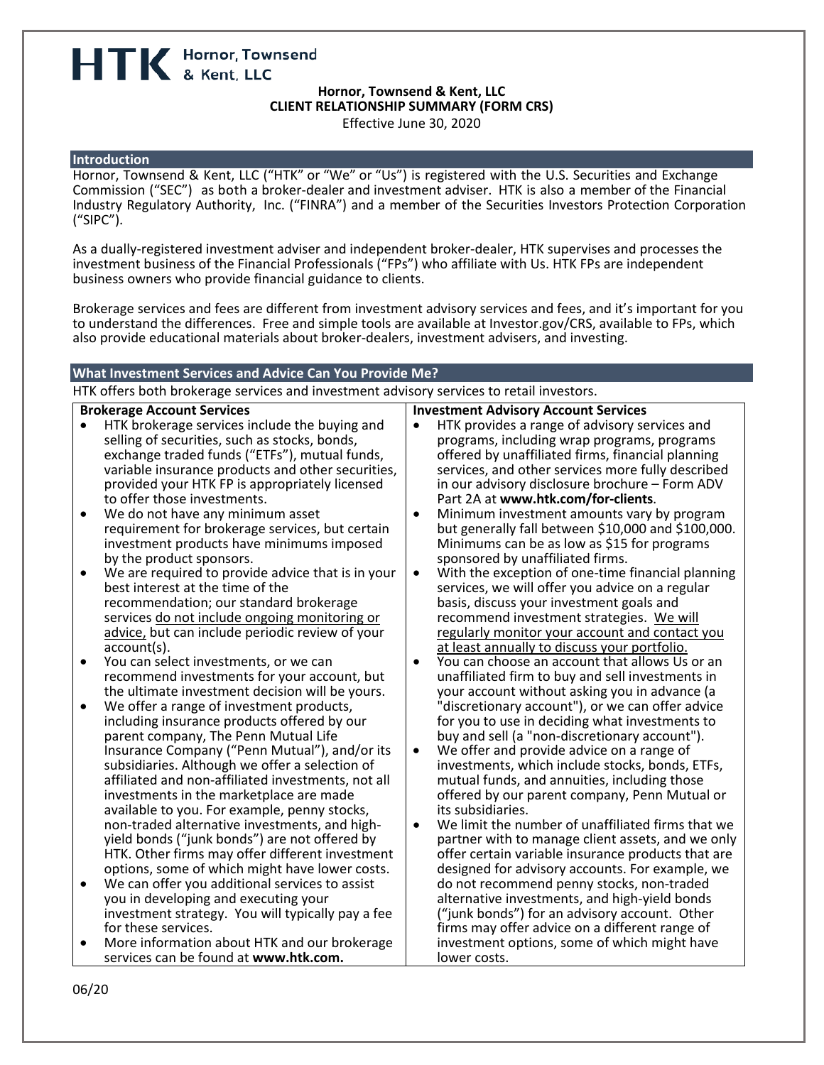HTK Hornor, Townsend

# **Hornor, Townsend & Kent, LLC CLIENT RELATIONSHIP SUMMARY (FORM CRS)**

Effective June 30, 2020

### **Introduction**

Hornor, Townsend & Kent, LLC ("HTK" or "We" or "Us") is registered with the U.S. Securities and Exchange Commission ("SEC") as both a broker-dealer and investment adviser. HTK is also a member of the Financial Industry Regulatory Authority, Inc. ("FINRA") and a member of the Securities Investors Protection Corporation ("SIPC").

As a dually-registered investment adviser and independent broker-dealer, HTK supervises and processes the investment business of the Financial Professionals ("FPs") who affiliate with Us. HTK FPs are independent business owners who provide financial guidance to clients.

Brokerage services and fees are different from investment advisory services and fees, and it's important for you to understand the differences. Free and simple tools are available at Investor.gov/CRS, available to FPs, which also provide educational materials about broker-dealers, investment advisers, and investing.

### **What Investment Services and Advice Can You Provide Me?** HTK offers both brokerage services and investment advisory services to retail investors. **Brokerage Account Services** • HTK brokerage services include the buying and selling of securities, such as stocks, bonds, exchange traded funds ("ETFs"), mutual funds, variable insurance products and other securities, provided your HTK FP is appropriately licensed to offer those investments. • We do not have any minimum asset requirement for brokerage services, but certain investment products have minimums imposed by the product sponsors. • We are required to provide advice that is in your best interest at the time of the recommendation; our standard brokerage services do not include ongoing monitoring or advice, but can include periodic review of your account(s). • You can select investments, or we can recommend investments for your account, but the ultimate investment decision will be yours. • We offer a range of investment products, including insurance products offered by our parent company, The Penn Mutual Life Insurance Company ("Penn Mutual"), and/or its subsidiaries. Although we offer a selection of affiliated and non-affiliated investments, not all investments in the marketplace are made available to you. For example, penny stocks,<br>non-traded alternative investments, and highyield bonds ("junk bonds") are not offered by HTK. Other firms may offer different investment options, some of which might have lower costs. • We can offer you additional services to assist you in developing and executing your investment strategy. You will typically pay a fee for these services. • More information about HTK and our brokerage services can be found at **www.htk.com. Investment Advisory Account Services** • HTK provides a range of advisory services and programs, including wrap programs, programs offered by unaffiliated firms, financial planning services, and other services more fully described in our advisory disclosure brochure – Form ADV Part 2A at **www.htk.com/for-clients**. • Minimum investment amounts vary by program but generally fall between \$10,000 and \$100,000. Minimums can be as low as \$15 for programs sponsored by unaffiliated firms. • With the exception of one-time financial planning services, we will offer you advice on a regular basis, discuss your investment goals and recommend investment strategies. We will regularly monitor your account and contact you at least annually to discuss your portfolio. • You can choose an account that allows Us or an unaffiliated firm to buy and sell investments in your account without asking you in advance (a "discretionary account"), or we can offer advice for you to use in deciding what investments to buy and sell (a "non-discretionary account"). We offer and provide advice on a range of investments, which include stocks, bonds, ETFs, mutual funds, and annuities, including those offered by our parent company, Penn Mutual or its subsidiaries. We limit the number of unaffiliated firms that we partner with to manage client assets, and we only offer certain variable insurance products that are designed for advisory accounts. For example, we do not recommend penny stocks, non-traded alternative investments, and high-yield bonds ("junk bonds") for an advisory account. Other firms may offer advice on a different range of investment options, some of which might have lower costs.

06/20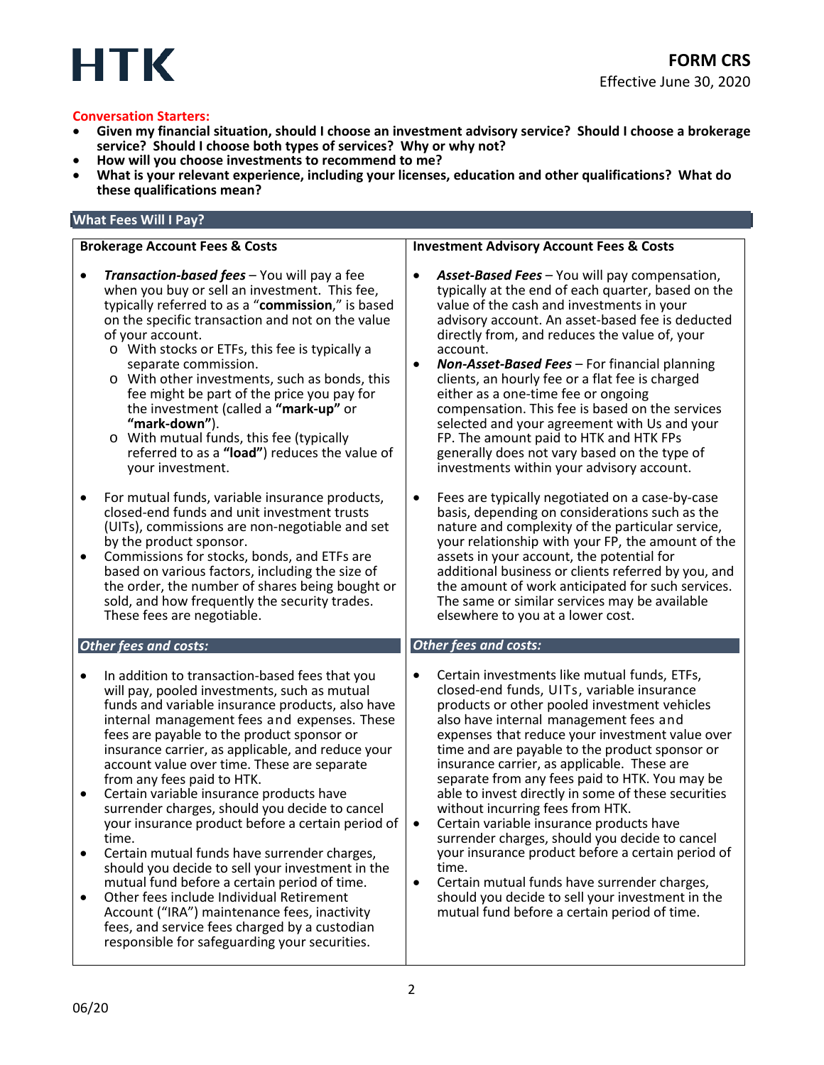

- **Conversation Starters:**<br>• Given my financial situation, should I choose an investment advisory service? Should I choose a brokerage **service? Should I choose both types of services? Why or why not?**
- 
- **How will you choose investments to recommend to me? What is your relevant experience, including your licenses, education and other qualifications? What do these qualifications mean?**

## **What Fees Will I Pay?**

### **Brokerage Account Fees & Costs** • *Transaction-based fees* – You will pay a fee when you buy or sell an investment. This fee, typically referred to as a "**commission**," is based on the specific transaction and not on the value of your account. o With stocks or ETFs, this fee is typically a separate commission. o With other investments, such as bonds, this fee might be part of the price you pay for the investment (called a **"mark-up"** or **"mark-down"**). o With mutual funds, this fee (typically referred to as a **"load"**) reduces the value of your investment. • For mutual funds, variable insurance products, closed-end funds and unit investment trusts (UITs), commissions are non-negotiable and set by the product sponsor. • Commissions for stocks, bonds, and ETFs are based on various factors, including the size of the order, the number of shares being bought or sold, and how frequently the security trades. These fees are negotiable. *Other fees and costs:* • In addition to transaction-based fees that you will pay, pooled investments, such as mutual funds and variable insurance products, also have internal management fees and expenses. These fees are payable to the product sponsor or insurance carrier, as applicable, and reduce your account value over time. These are separate from any fees paid to HTK. • Certain variable insurance products have surrender charges, should you decide to cancel your insurance product before a certain period of time.<br>• Certain mutual funds have surrender charges,<br>should you decide to sell your investment in the mutual fund before a certain period of time. • Other fees include Individual Retirement Account ("IRA") maintenance fees, inactivity fees, and service fees charged by a custodian responsible for safeguarding your securities. **Investment Advisory Account Fees & Costs** • *Asset-Based Fees* – You will pay compensation, typically at the end of each quarter, based on the value of the cash and investments in your advisory account. An asset-based fee is deducted directly from, and reduces the value of, your account. • *Non-Asset-Based Fees* – For financial planning clients, an hourly fee or a flat fee is charged either as a one-time fee or ongoing compensation. This fee is based on the services selected and your agreement with Us and your FP. The amount paid to HTK and HTK FPs generally does not vary based on the type of investments within your advisory account. • Fees are typically negotiated on a case-by-case basis, depending on considerations such as the nature and complexity of the particular service, your relationship with your FP, the amount of the assets in your account, the potential for additional business or clients referred by you, and the amount of work anticipated for such services. The same or similar services may be available elsewhere to you at a lower cost. *Other fees and costs:* • Certain investments like mutual funds, ETFs, closed-end funds, UITs, variable insurance products or other pooled investment vehicles also have internal management fees and expenses that reduce your investment value over time and are payable to the product sponsor or insurance carrier, as applicable. These are separate from any fees paid to HTK. You may be able to invest directly in some of these securities without incurring fees from HTK. Certain variable insurance products have surrender charges, should you decide to cancel your insurance product before a certain period of time. • Certain mutual funds have surrender charges, should you decide to sell your investment in the mutual fund before a certain period of time.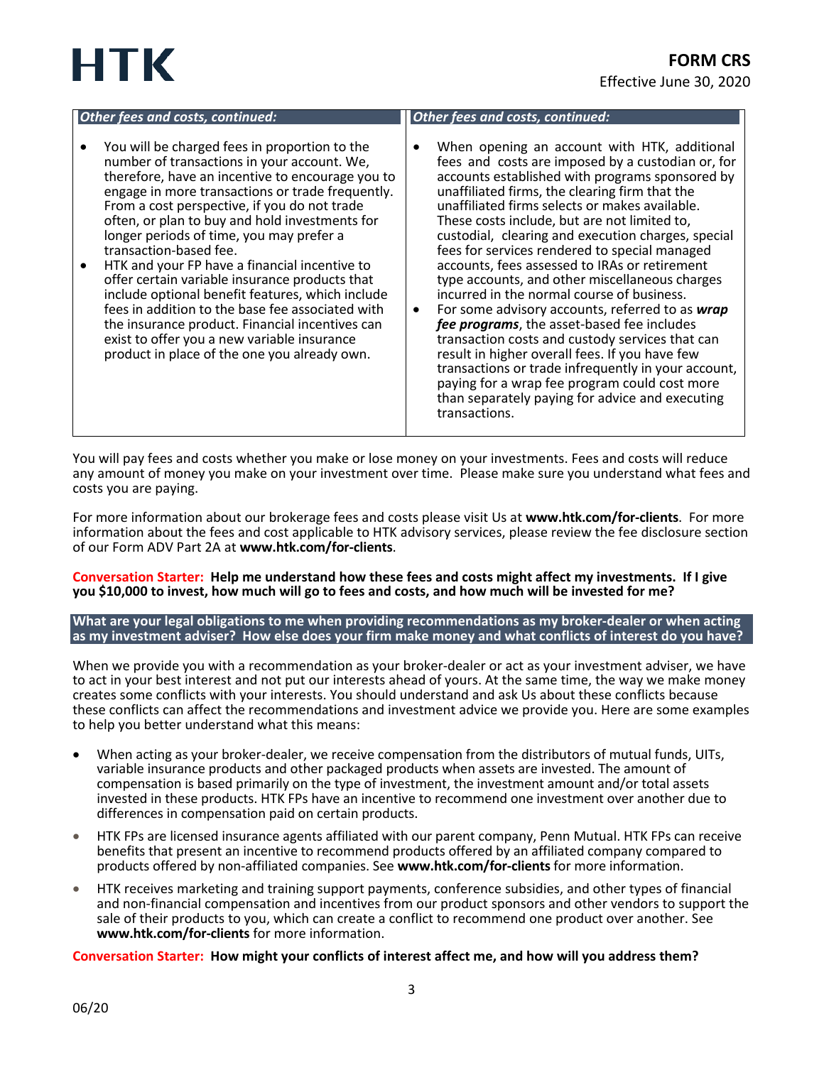# HTK

| Other fees and costs, continued:                                                                                                                                                                                                                                                                                                                                                                                                                                                                                                                                                                                                                                                                                                                       | Other fees and costs, continued:                                                                                                                                                                                                                                                                                                                                                                                                                                                                                                                                                                                                                                                                                                                                                                                                                                                                                                                        |
|--------------------------------------------------------------------------------------------------------------------------------------------------------------------------------------------------------------------------------------------------------------------------------------------------------------------------------------------------------------------------------------------------------------------------------------------------------------------------------------------------------------------------------------------------------------------------------------------------------------------------------------------------------------------------------------------------------------------------------------------------------|---------------------------------------------------------------------------------------------------------------------------------------------------------------------------------------------------------------------------------------------------------------------------------------------------------------------------------------------------------------------------------------------------------------------------------------------------------------------------------------------------------------------------------------------------------------------------------------------------------------------------------------------------------------------------------------------------------------------------------------------------------------------------------------------------------------------------------------------------------------------------------------------------------------------------------------------------------|
| You will be charged fees in proportion to the<br>number of transactions in your account. We,<br>therefore, have an incentive to encourage you to<br>engage in more transactions or trade frequently.<br>From a cost perspective, if you do not trade<br>often, or plan to buy and hold investments for<br>longer periods of time, you may prefer a<br>transaction-based fee.<br>HTK and your FP have a financial incentive to<br>$\bullet$<br>offer certain variable insurance products that<br>include optional benefit features, which include<br>fees in addition to the base fee associated with<br>the insurance product. Financial incentives can<br>exist to offer you a new variable insurance<br>product in place of the one you already own. | When opening an account with HTK, additional<br>fees and costs are imposed by a custodian or, for<br>accounts established with programs sponsored by<br>unaffiliated firms, the clearing firm that the<br>unaffiliated firms selects or makes available.<br>These costs include, but are not limited to,<br>custodial, clearing and execution charges, special<br>fees for services rendered to special managed<br>accounts, fees assessed to IRAs or retirement<br>type accounts, and other miscellaneous charges<br>incurred in the normal course of business.<br>For some advisory accounts, referred to as wrap<br>٠<br>fee programs, the asset-based fee includes<br>transaction costs and custody services that can<br>result in higher overall fees. If you have few<br>transactions or trade infrequently in your account,<br>paying for a wrap fee program could cost more<br>than separately paying for advice and executing<br>transactions. |

You will pay fees and costs whether you make or lose money on your investments. Fees and costs will reduce any amount of money you make on your investment over time. Please make sure you understand what fees and costs you are paying.

For more information about our brokerage fees and costs please visit Us at **www.htk.com/for-clients**. For more information about the fees and cost applicable to HTK advisory services, please review the fee disclosure section of our Form ADV Part 2A at **www.htk.com/for-clients**.

**Conversation Starter: Help me understand how these fees and costs might affect my investments. If I give you \$10,000 to invest, how much will go to fees and costs, and how much will be invested for me?**

**What are your legal obligations to me when providing recommendations as my broker-dealer or when acting as my investment adviser? How else does your firm make money and what conflicts of interest do you have?**

When we provide you with a recommendation as your broker-dealer or act as your investment adviser, we have to act in your best interest and not put our interests ahead of yours. At the same time, the way we make money creates some conflicts with your interests. You should understand and ask Us about these conflicts because these conflicts can affect the recommendations and investment advice we provide you. Here are some examples to help you better understand what this means:

- When acting as your broker-dealer, we receive compensation from the distributors of mutual funds, UITs, variable insurance products and other packaged products when assets are invested. The amount of compensation is based primarily on the type of investment, the investment amount and/or total assets invested in these products. HTK FPs have an incentive to recommend one investment over another due to differences in compensation paid on certain products.
- HTK FPs are licensed insurance agents affiliated with our parent company, Penn Mutual. HTK FPs can receive benefits that present an incentive to recommend products offered by an affiliated company compared to products offered by non-affiliated companies. See **www.htk.com/for-clients** for more information.
- HTK receives marketing and training support payments, conference subsidies, and other types of financial and non-financial compensation and incentives from our product sponsors and other vendors to support the sale of their products to you, which can create a conflict to recommend one product over another. See **www.htk.com/for-clients** for more information.

**Conversation Starter: How might your conflicts of interest affect me, and how will you address them?**